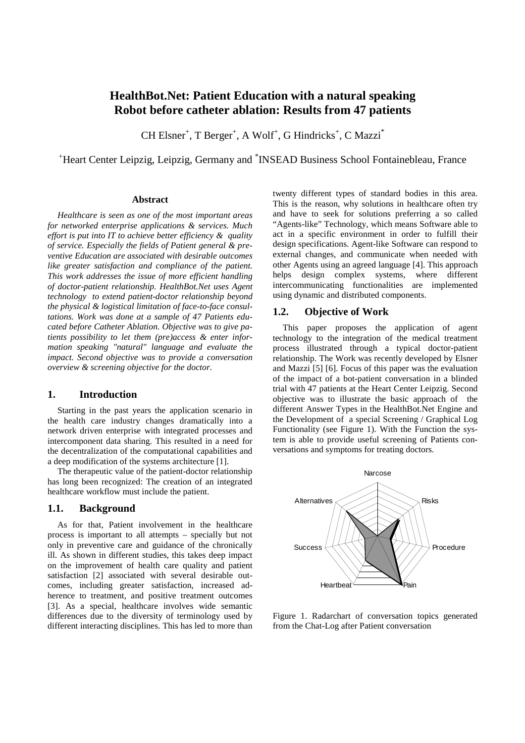# **HealthBot.Net: Patient Education with a natural speaking Robot before catheter ablation: Results from 47 patients**

CH Elsner<sup>+</sup>, T Berger<sup>+</sup>, A Wolf<sup>+</sup>, G Hindricks<sup>+</sup>, C Mazzi<sup>\*</sup>

<sup>+</sup>Heart Center Leipzig, Leipzig, Germany and \* INSEAD Business School Fontainebleau, France

## **Abstract**

*Healthcare is seen as one of the most important areas for networked enterprise applications & services. Much effort is put into IT to achieve better efficiency & quality of service. Especially the fields of Patient general & preventive Education are associated with desirable outcomes like greater satisfaction and compliance of the patient. This work addresses the issue of more efficient handling of doctor-patient relationship. HealthBot.Net uses Agent technology to extend patient-doctor relationship beyond the physical & logistical limitation of face-to-face consultations. Work was done at a sample of 47 Patients educated before Catheter Ablation. Objective was to give patients possibility to let them (pre)access & enter information speaking "natural" language and evaluate the impact. Second objective was to provide a conversation overview & screening objective for the doctor.* 

## **1. Introduction**

Starting in the past years the application scenario in the health care industry changes dramatically into a network driven enterprise with integrated processes and intercomponent data sharing. This resulted in a need for the decentralization of the computational capabilities and a deep modification of the systems architecture [1].

The therapeutic value of the patient-doctor relationship has long been recognized: The creation of an integrated healthcare workflow must include the patient.

#### **1.1. Background**

As for that, Patient involvement in the healthcare process is important to all attempts – specially but not only in preventive care and guidance of the chronically ill. As shown in different studies, this takes deep impact on the improvement of health care quality and patient satisfaction [2] associated with several desirable outcomes, including greater satisfaction, increased adherence to treatment, and positive treatment outcomes [3]. As a special, healthcare involves wide semantic differences due to the diversity of terminology used by different interacting disciplines. This has led to more than

twenty different types of standard bodies in this area. This is the reason, why solutions in healthcare often try and have to seek for solutions preferring a so called "Agents-like" Technology, which means Software able to act in a specific environment in order to fulfill their design specifications. Agent-like Software can respond to external changes, and communicate when needed with other Agents using an agreed language [4]. This approach helps design complex systems, where different intercommunicating functionalities are implemented using dynamic and distributed components.

#### **1.2. Objective of Work**

This paper proposes the application of agent technology to the integration of the medical treatment process illustrated through a typical doctor-patient relationship. The Work was recently developed by Elsner and Mazzi [5] [6]. Focus of this paper was the evaluation of the impact of a bot-patient conversation in a blinded trial with 47 patients at the Heart Center Leipzig. Second objective was to illustrate the basic approach of the different Answer Types in the HealthBot.Net Engine and the Development of a special Screening / Graphical Log Functionality (see Figure 1). With the Function the system is able to provide useful screening of Patients conversations and symptoms for treating doctors.



Figure 1. Radarchart of conversation topics generated from the Chat-Log after Patient conversation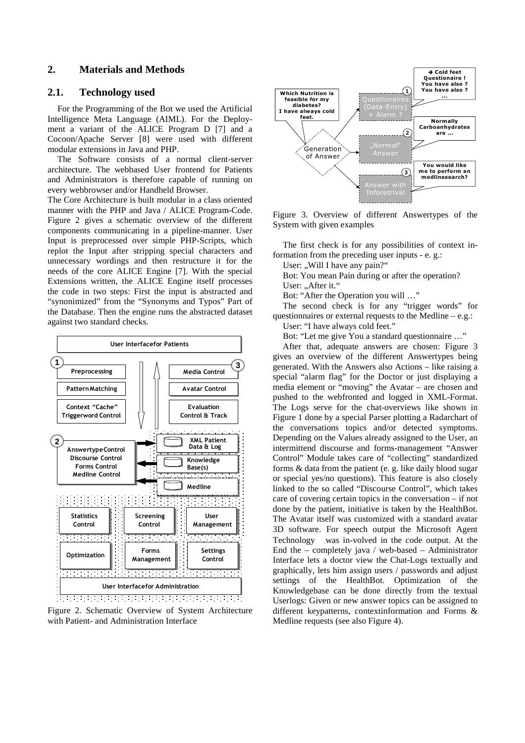## **2. Materials and Methods**

#### **2.1. Technology used**

For the Programming of the Bot we used the Artificial Intelligence Meta Language (AIML). For the Deployment a variant of the ALICE Program D [7] and a Cocoon/Apache Server [8] were used with different modular extensions in Java and PHP.

The Software consists of a normal client-server architecture. The webbased User frontend for Patients and Administrators is therefore capable of running on every webbrowser and/or Handheld Browser.

The Core Architecture is built modular in a class oriented manner with the PHP and Java / ALICE Program-Code. Figure 2 gives a schematic overview of the different components communicating in a pipeline-manner. User Input is preprocessed over simple PHP-Scripts, which replot the Input after stripping special characters and unnecessary wordings and then restructure it for the needs of the core ALICE Engine [7]. With the special Extensions written, the ALICE Engine itself processes the code in two steps: First the input is abstracted and "synonimized" from the "Synonyms and Typos" Part of the Database. Then the engine runs the abstracted dataset against two standard checks.



Figure 2. Schematic Overview of System Architecture with Patient- and Administration Interface



Figure 3. Overview of different Answertypes of the System with given examples

The first check is for any possibilities of context information from the preceding user inputs - e. g.:

User: ..Will I have any pain?"

Bot: You mean Pain during or after the operation? User: "After it."

Bot: "After the Operation you will …"

The second check is for any "trigger words" for questionnaires or external requests to the Medline – e.g.:

User: "I have always cold feet."

Bot: "Let me give You a standard questionnaire …"

After that, adequate answers are chosen: Figure 3 gives an overview of the different Answertypes being generated. With the Answers also Actions – like raising a special "alarm flag" for the Doctor or just displaying a media element or "moving" the Avatar – are chosen and pushed to the webfronted and logged in XML-Format. The Logs serve for the chat-overviews like shown in Figure 1 done by a special Parser plotting a Radarchart of the conversations topics and/or detected symptoms. Depending on the Values already assigned to the User, an intermittend discourse and forms-management "Answer Control" Module takes care of "collecting" standardized forms & data from the patient (e. g. like daily blood sugar or special yes/no questions). This feature is also closely linked to the so called "Discourse Control", which takes care of covering certain topics in the conversation – if not done by the patient, initiative is taken by the HealthBot. The Avatar itself was customized with a standard avatar 3D software. For speech output the Microsoft Agent Technology<sup>®</sup> was in-volved in the code output. At the End the – completely java / web-based – Administrator Interface lets a doctor view the Chat-Logs textually and graphically, lets him assign users / passwords and adjust settings of the HealthBot. Optimization of the Knowledgebase can be done directly from the textual Userlogs: Given or new answer topics can be assigned to different keypatterns, contextinformation and Forms & Medline requests (see also Figure 4).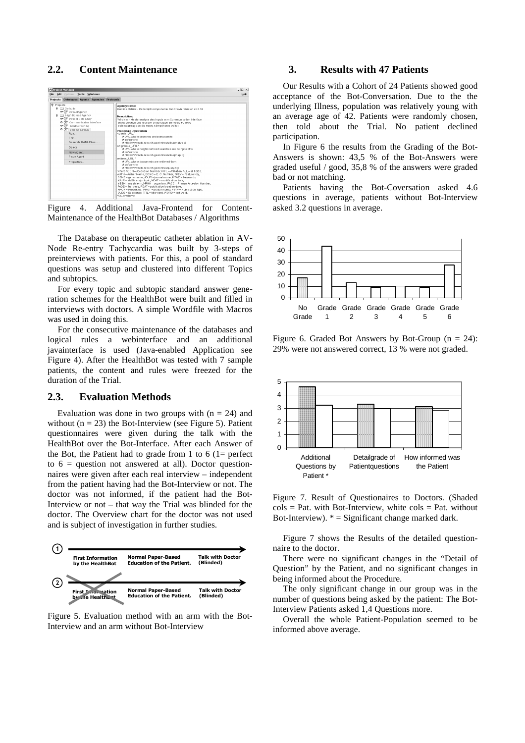# **2.2. Content Maintenance**



Figure 4. Additional Java-Frontend for Content-Maintenance of the HealthBot Databases / Algorithms

The Database on therapeutic catheter ablation in AV-Node Re-entry Tachycardia was built by 3-steps of preinterviews with patients. For this, a pool of standard questions was setup and clustered into different Topics and subtopics.

For every topic and subtopic standard answer generation schemes for the HealthBot were built and filled in interviews with doctors. A simple Wordfile with Macros was used in doing this.

For the consecutive maintenance of the databases and logical rules a webinterface and an additional javainterface is used (Java-enabled Application see Figure 4). After the HealthBot was tested with 7 sample patients, the content and rules were freezed for the duration of the Trial.

#### **2.3. Evaluation Methods**

Evaluation was done in two groups with  $(n = 24)$  and without  $(n = 23)$  the Bot-Interview (see Figure 5). Patient questionnaires were given during the talk with the HealthBot over the Bot-Interface. After each Answer of the Bot, the Patient had to grade from 1 to 6 ( $1=$  perfect to  $6 =$  question not answered at all). Doctor questionnaires were given after each real interview – independent from the patient having had the Bot-Interview or not. The doctor was not informed, if the patient had the Bot-Interview or not – that way the Trial was blinded for the doctor. The Overview chart for the doctor was not used and is subject of investigation in further studies.



Figure 5. Evaluation method with an arm with the Bot-Interview and an arm without Bot-Interview

## **3. Results with 47 Patients**

Our Results with a Cohort of 24 Patients showed good acceptance of the Bot-Conversation. Due to the the underlying Illness, population was relatively young with an average age of 42. Patients were randomly chosen, then told about the Trial. No patient declined participation.

In Figure 6 the results from the Grading of the Bot-Answers is shown: 43,5 % of the Bot-Answers were graded useful / good, 35,8 % of the answers were graded bad or not matching.

Patients having the Bot-Coversation asked 4.6 questions in average, patients without Bot-Interview asked 3.2 questions in average.



Figure 6. Graded Bot Answers by Bot-Group  $(n = 24)$ : 29% were not answered correct, 13 % were not graded.



Figure 7. Result of Questionaires to Doctors. (Shaded  $\text{cols} = \text{Pat. with Bot-Interview, white \text{ } \text{cols} = \text{Pat. without}$ Bot-Interview).  $* =$  Significant change marked dark.

Figure 7 shows the Results of the detailed questionnaire to the doctor.

There were no significant changes in the "Detail of Question" by the Patient, and no significant changes in being informed about the Procedure.

The only significant change in our group was in the number of questions being asked by the patient: The Bot-Interview Patients asked 1,4 Questions more.

Overall the whole Patient-Population seemed to be informed above average.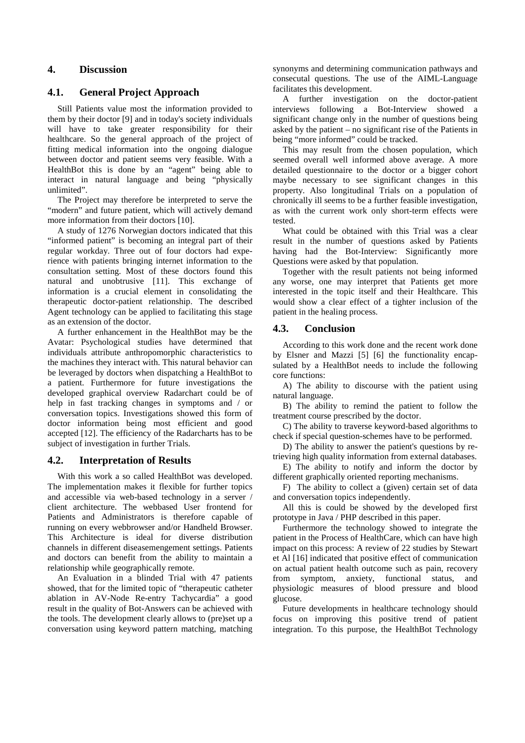# **4. Discussion**

# **4.1. General Project Approach**

Still Patients value most the information provided to them by their doctor [9] and in today's society individuals will have to take greater responsibility for their healthcare. So the general approach of the project of fitting medical information into the ongoing dialogue between doctor and patient seems very feasible. With a HealthBot this is done by an "agent" being able to interact in natural language and being "physically unlimited".

The Project may therefore be interpreted to serve the "modern" and future patient, which will actively demand more information from their doctors [10].

A study of 1276 Norwegian doctors indicated that this "informed patient" is becoming an integral part of their regular workday. Three out of four doctors had experience with patients bringing internet information to the consultation setting. Most of these doctors found this natural and unobtrusive [11]. This exchange of information is a crucial element in consolidating the therapeutic doctor-patient relationship. The described Agent technology can be applied to facilitating this stage as an extension of the doctor.

A further enhancement in the HealthBot may be the Avatar: Psychological studies have determined that individuals attribute anthropomorphic characteristics to the machines they interact with. This natural behavior can be leveraged by doctors when dispatching a HealthBot to a patient. Furthermore for future investigations the developed graphical overview Radarchart could be of help in fast tracking changes in symptoms and / or conversation topics. Investigations showed this form of doctor information being most efficient and good accepted [12]. The efficiency of the Radarcharts has to be subject of investigation in further Trials.

## **4.2. Interpretation of Results**

With this work a so called HealthBot was developed. The implementation makes it flexible for further topics and accessible via web-based technology in a server / client architecture. The webbased User frontend for Patients and Administrators is therefore capable of running on every webbrowser and/or Handheld Browser. This Architecture is ideal for diverse distribution channels in different diseasemengement settings. Patients and doctors can benefit from the ability to maintain a relationship while geographically remote.

An Evaluation in a blinded Trial with 47 patients showed, that for the limited topic of "therapeutic catheter ablation in AV-Node Re-entry Tachycardia" a good result in the quality of Bot-Answers can be achieved with the tools. The development clearly allows to (pre)set up a conversation using keyword pattern matching, matching synonyms and determining communication pathways and consecutal questions. The use of the AIML-Language facilitates this development.

A further investigation on the doctor-patient interviews following a Bot-Interview showed a significant change only in the number of questions being asked by the patient – no significant rise of the Patients in being "more informed" could be tracked.

This may result from the chosen population, which seemed overall well informed above average. A more detailed questionnaire to the doctor or a bigger cohort maybe necessary to see significant changes in this property. Also longitudinal Trials on a population of chronically ill seems to be a further feasible investigation, as with the current work only short-term effects were tested.

What could be obtained with this Trial was a clear result in the number of questions asked by Patients having had the Bot-Interview: Significantly more Questions were asked by that population.

Together with the result patients not being informed any worse, one may interpret that Patients get more interested in the topic itself and their Healthcare. This would show a clear effect of a tighter inclusion of the patient in the healing process.

# **4.3. Conclusion**

According to this work done and the recent work done by Elsner and Mazzi [5] [6] the functionality encapsulated by a HealthBot needs to include the following core functions:

A) The ability to discourse with the patient using natural language.

B) The ability to remind the patient to follow the treatment course prescribed by the doctor.

C) The ability to traverse keyword-based algorithms to check if special question-schemes have to be performed.

D) The ability to answer the patient's questions by retrieving high quality information from external databases.

E) The ability to notify and inform the doctor by different graphically oriented reporting mechanisms.

F) The ability to collect a (given) certain set of data and conversation topics independently.

All this is could be showed by the developed first prototype in Java / PHP described in this paper.

Furthermore the technology showed to integrate the patient in the Process of HealthCare, which can have high impact on this process: A review of 22 studies by Stewart et Al [16] indicated that positive effect of communication on actual patient health outcome such as pain, recovery from symptom, anxiety, functional status, and physiologic measures of blood pressure and blood glucose.

Future developments in healthcare technology should focus on improving this positive trend of patient integration. To this purpose, the HealthBot Technology